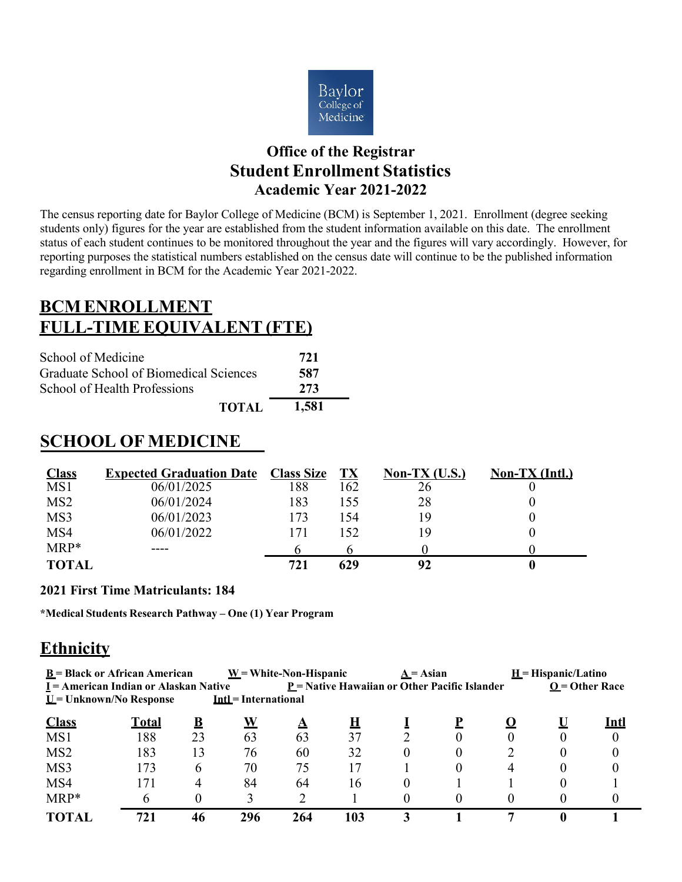

#### **Office of the Registrar Student Enrollment Statistics Academic Year 2021-2022**

The census reporting date for Baylor College of Medicine (BCM) is September 1, 2021. Enrollment (degree seeking students only) figures for the year are established from the student information available on this date. The enrollment status of each student continues to be monitored throughout the year and the figures will vary accordingly. However, for reporting purposes the statistical numbers established on the census date will continue to be the published information regarding enrollment in BCM for the Academic Year 2021-2022.

## **BCMENROLLMENT FULL-TIME EQUIVALENT (FTE)**

| School of Medicine                     | 721   |
|----------------------------------------|-------|
| Graduate School of Biomedical Sciences | 587   |
| School of Health Professions           | 273   |
| <b>TOTAL</b>                           | 1,581 |

#### **SCHOOL OF MEDICINE**

| <b>Class</b>    | <b>Expected Graduation Date</b> | <b>Class Size</b> | TX  | Non-TX $(U.S.)$ | $Non-TX (Intl.)$ |
|-----------------|---------------------------------|-------------------|-----|-----------------|------------------|
| MS1             | 06/01/2025                      | 188               | 162 | 26              |                  |
| MS <sub>2</sub> | 06/01/2024                      | 183               | 155 | 28              |                  |
| MS3             | 06/01/2023                      | 173               | 154 | 19              |                  |
| MS4             | 06/01/2022                      | 171               | 152 | 19              |                  |
| $MRP*$          |                                 |                   |     |                 |                  |
| <b>TOTAL</b>    |                                 | 721               | 629 | 92              |                  |

#### **2021 First Time Matriculants: 184**

**\*Medical Students Research Pathway – One (1) Year Program**

#### **Ethnicity**

| $\underline{U}$ = Unknown/No Response | $\underline{\mathbf{B}}$ = Black or African American<br>$I =$ American Indian or Alaskan Native |          | <b>Intl = International</b> | $W = White-Non-Hispanic$ | $P$ = Native Hawaiian or Other Pacific Islander | $A = Asian$ |          |   | $H$ = Hispanic/Latino | $Q =$ Other Race |
|---------------------------------------|-------------------------------------------------------------------------------------------------|----------|-----------------------------|--------------------------|-------------------------------------------------|-------------|----------|---|-----------------------|------------------|
| <b>Class</b>                          | <u>Total</u>                                                                                    | <u>B</u> | W                           | <u>A</u>                 | <u>н</u>                                        |             |          |   |                       | <u>Intl</u>      |
| MS1                                   | 188                                                                                             | 23       | 63                          | 63                       | 37                                              |             |          |   |                       | $\theta$         |
| MS <sub>2</sub>                       | 183                                                                                             | 13       | 76                          | 60                       | 32                                              | 0           | $\left($ |   | 0                     |                  |
| MS3                                   | 173                                                                                             | 6        | 70                          | 75                       | 17                                              |             |          | 4 |                       |                  |
| MS4                                   |                                                                                                 | 4        | 84                          | 64                       | 16                                              | $\theta$    |          |   |                       |                  |
| MRP*                                  | h                                                                                               |          | 3                           | ∍                        |                                                 |             |          |   |                       |                  |
| TOTAL                                 | 721                                                                                             | 46       | 296                         | 264                      | 103                                             | 3           |          |   |                       |                  |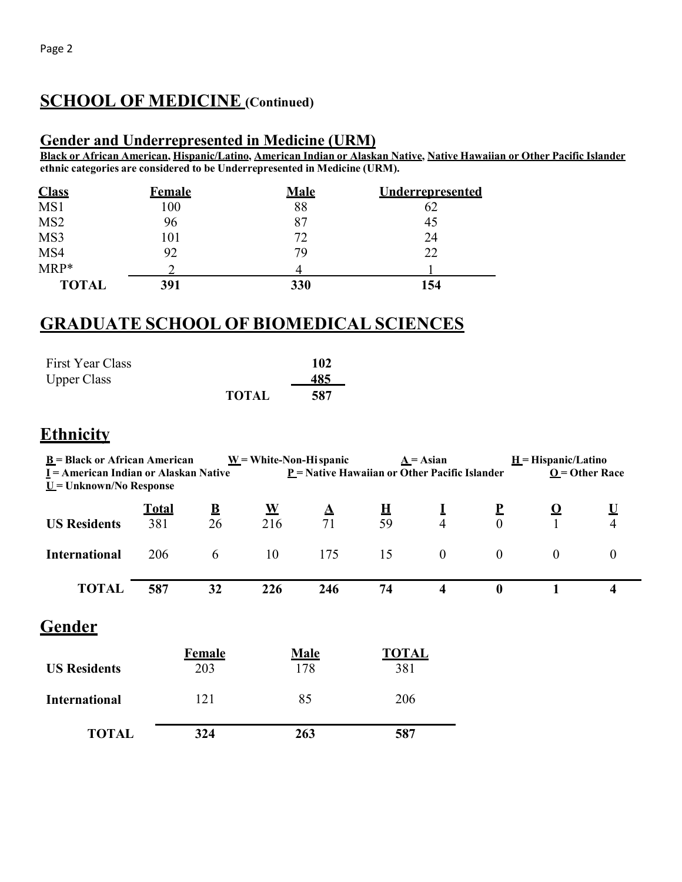## **SCHOOL OF MEDICINE (Continued)**

#### **Gender and Underrepresented in Medicine (URM)**

**Black or African American, Hispanic/Latino, American Indian or Alaskan Native, Native Hawaiian or Other Pacific Islander ethnic categories are considered to be Underrepresented in Medicine (URM).**

| <b>Class</b>    | <b>Female</b> | <b>Male</b> | <b>Underrepresented</b> |
|-----------------|---------------|-------------|-------------------------|
| MS1             | 100           | 88          | 62                      |
| MS <sub>2</sub> | 96            | 87          | 45                      |
| MS3             | 101           | 72          | 24                      |
| MS4             | 92            | 79          | 22                      |
| $MRP*$          |               |             |                         |
| <b>TOTAL</b>    | 391           | 330         | 154                     |

#### **GRADUATE SCHOOL OF BIOMEDICAL SCIENCES**

| First Year Class   |              | 102 |
|--------------------|--------------|-----|
| <b>Upper Class</b> |              | 485 |
|                    | <b>TOTAL</b> | 587 |

#### **Ethnicity**

| $\underline{B}$ = Black or African American<br>$I =$ American Indian or Alaskan Native<br>$\underline{U}$ = Unknown/No Response |                     |                               | $W = White-Non-Hi spanic$ |                    | $\underline{A} = A$ sian<br>$\underline{P}$ = Native Hawaiian or Other Pacific Islander |                            |                          | $H = Hispanic/Latino$<br>$Q =$ Other Race |                            |  |
|---------------------------------------------------------------------------------------------------------------------------------|---------------------|-------------------------------|---------------------------|--------------------|-----------------------------------------------------------------------------------------|----------------------------|--------------------------|-------------------------------------------|----------------------------|--|
| <b>US Residents</b>                                                                                                             | <b>Total</b><br>381 | $\overline{\mathbf{B}}$<br>26 | ${\bf W}$<br>216          | $\Delta$<br>71     | $\mathbf H$<br>59                                                                       | $\bf{l}$<br>$\overline{4}$ | $\mathbf{P}$<br>$\theta$ | <u>ଠ</u>                                  | $\bf{U}$<br>$\overline{4}$ |  |
| <b>International</b>                                                                                                            | 206                 | 6                             | 10                        | 175                | 15                                                                                      | $\boldsymbol{0}$           | $\boldsymbol{0}$         | $\mathbf{0}$                              | $\boldsymbol{0}$           |  |
| <b>TOTAL</b>                                                                                                                    | 587                 | 32                            | 226                       | 246                | 74                                                                                      | $\overline{\mathbf{4}}$    | $\boldsymbol{0}$         |                                           | $\overline{\mathbf{4}}$    |  |
| <b>Gender</b>                                                                                                                   |                     |                               |                           |                    |                                                                                         |                            |                          |                                           |                            |  |
| <b>US Residents</b>                                                                                                             |                     | <b>Female</b><br>203          |                           | <b>Male</b><br>178 | <b>TOTAL</b><br>381                                                                     |                            |                          |                                           |                            |  |
| <b>International</b>                                                                                                            |                     | 121                           |                           | 85                 | 206                                                                                     |                            |                          |                                           |                            |  |
| <b>TOTAL</b>                                                                                                                    |                     | 324                           |                           | 263                | 587                                                                                     |                            |                          |                                           |                            |  |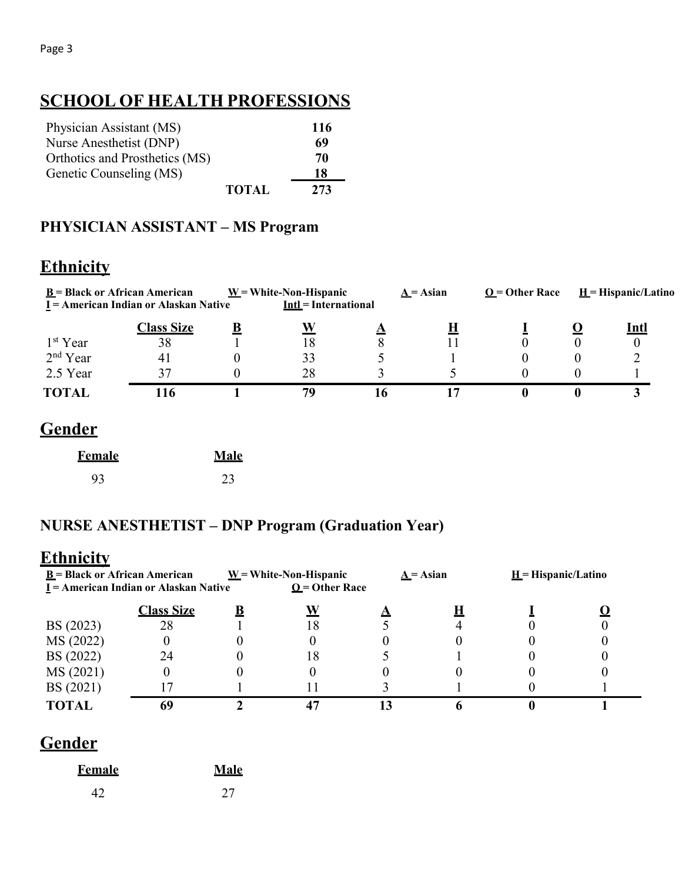# **SCHOOL OF HEALTH PROFESSIONS**

| Physician Assistant (MS)       |              | 116 |
|--------------------------------|--------------|-----|
| Nurse Anesthetist (DNP)        |              | 69  |
| Orthotics and Prosthetics (MS) |              | 70  |
| Genetic Counseling (MS)        |              | 18  |
|                                | <b>TOTAL</b> | 273 |

#### **PHYSICIAN ASSISTANT – MS Program**

## **Ethnicity**

|                      | $\underline{\mathbf{B}}$ = Black or African American<br>I = American Indian or Alaskan Native | $W = White-Non-Hispanic$<br><b>Intl</b> = International |    | $A = Asian$ | $O =$ Other Race | $H = Hispanic/Latino$ |
|----------------------|-----------------------------------------------------------------------------------------------|---------------------------------------------------------|----|-------------|------------------|-----------------------|
|                      | <b>Class Size</b>                                                                             | W                                                       |    |             |                  | Intl                  |
| 1 <sup>st</sup> Year | 38                                                                                            | 18                                                      | 8  |             |                  |                       |
| $2nd$ Year           | 41                                                                                            | 33                                                      |    |             |                  |                       |
| 2.5 Year             | 37                                                                                            | 28                                                      |    |             |                  |                       |
| <b>TOTAL</b>         | 16                                                                                            | 79                                                      | 16 |             |                  |                       |

## **Gender**

| <b>Female</b> | Male |
|---------------|------|
| 93            | 23   |

#### **NURSE ANESTHETIST – DNP Program (Graduation Year)**

#### **Ethnicity**

| $\underline{\mathbf{B}}$ = Black or African American<br>I = American Indian or Alaskan Native |                   | $\underline{W}$ = White-Non-Hispanic<br>$Q =$ Other Race |  | $A = Asian$ | $H = H$ ispanic/Latino |  |
|-----------------------------------------------------------------------------------------------|-------------------|----------------------------------------------------------|--|-------------|------------------------|--|
|                                                                                               | <b>Class Size</b> |                                                          |  |             |                        |  |
| BS (2023)                                                                                     | 28                | 18                                                       |  |             |                        |  |
| MS (2022)                                                                                     |                   |                                                          |  |             |                        |  |
| BS (2022)                                                                                     |                   | 18                                                       |  |             |                        |  |
| MS (2021)                                                                                     |                   |                                                          |  |             |                        |  |
| BS (2021)                                                                                     |                   |                                                          |  |             |                        |  |
|                                                                                               |                   |                                                          |  |             |                        |  |

## **Gender**

| <b>Female</b> | Male |
|---------------|------|
| 42            | 27   |